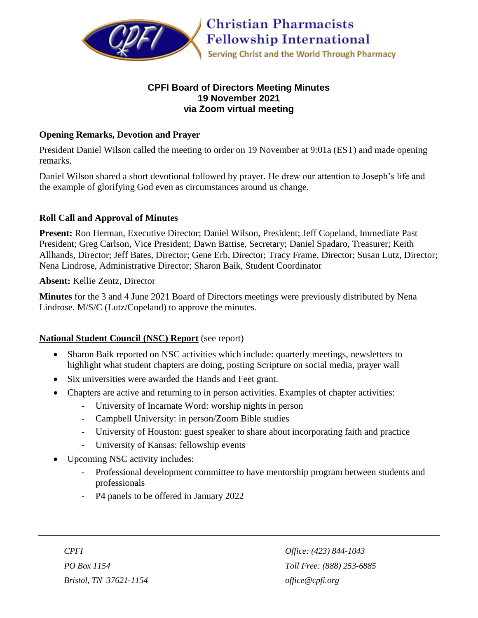

### **CPFI Board of Directors Meeting Minutes 19 November 2021 via Zoom virtual meeting**

#### **Opening Remarks, Devotion and Prayer**

President Daniel Wilson called the meeting to order on 19 November at 9:01a (EST) and made opening remarks.

Daniel Wilson shared a short devotional followed by prayer. He drew our attention to Joseph's life and the example of glorifying God even as circumstances around us change.

### **Roll Call and Approval of Minutes**

**Present:** Ron Herman, Executive Director; Daniel Wilson, President; Jeff Copeland, Immediate Past President; Greg Carlson, Vice President; Dawn Battise, Secretary; Daniel Spadaro, Treasurer; Keith Allhands, Director; Jeff Bates, Director; Gene Erb, Director; Tracy Frame, Director; Susan Lutz, Director; Nena Lindrose, Administrative Director; Sharon Baik, Student Coordinator

**Absent:** Kellie Zentz, Director

**Minutes** for the 3 and 4 June 2021 Board of Directors meetings were previously distributed by Nena Lindrose. M/S/C (Lutz/Copeland) to approve the minutes.

#### **National Student Council (NSC) Report** (see report)

- Sharon Baik reported on NSC activities which include: quarterly meetings, newsletters to highlight what student chapters are doing, posting Scripture on social media, prayer wall
- Six universities were awarded the Hands and Feet grant.
- Chapters are active and returning to in person activities. Examples of chapter activities:
	- University of Incarnate Word: worship nights in person
	- Campbell University: in person/Zoom Bible studies
	- University of Houston: guest speaker to share about incorporating faith and practice
	- University of Kansas: fellowship events
- Upcoming NSC activity includes:
	- Professional development committee to have mentorship program between students and professionals
	- P<sub>4</sub> panels to be offered in January 2022

*Bristol, TN 37621-1154 office@cpfi.org*

*CPFI Office: (423) 844-1043 PO Box 1154 Toll Free: (888) 253-6885*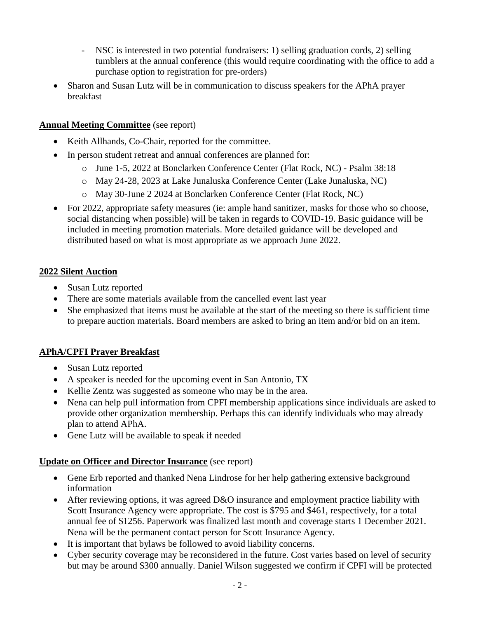- NSC is interested in two potential fundraisers: 1) selling graduation cords, 2) selling tumblers at the annual conference (this would require coordinating with the office to add a purchase option to registration for pre-orders)
- Sharon and Susan Lutz will be in communication to discuss speakers for the APhA prayer breakfast

### **Annual Meeting Committee** (see report)

- Keith Allhands, Co-Chair, reported for the committee.
- In person student retreat and annual conferences are planned for:
	- o June 1-5, 2022 at Bonclarken Conference Center (Flat Rock, NC) Psalm 38:18
	- o May 24-28, 2023 at Lake Junaluska Conference Center (Lake Junaluska, NC)
	- o May 30-June 2 2024 at Bonclarken Conference Center (Flat Rock, NC)
- For 2022, appropriate safety measures (ie: ample hand sanitizer, masks for those who so choose, social distancing when possible) will be taken in regards to COVID-19. Basic guidance will be included in meeting promotion materials. More detailed guidance will be developed and distributed based on what is most appropriate as we approach June 2022.

#### **2022 Silent Auction**

- Susan Lutz reported
- There are some materials available from the cancelled event last year
- She emphasized that items must be available at the start of the meeting so there is sufficient time to prepare auction materials. Board members are asked to bring an item and/or bid on an item.

# **APhA/CPFI Prayer Breakfast**

- Susan Lutz reported
- A speaker is needed for the upcoming event in San Antonio, TX
- Kellie Zentz was suggested as someone who may be in the area.
- Nena can help pull information from CPFI membership applications since individuals are asked to provide other organization membership. Perhaps this can identify individuals who may already plan to attend APhA.
- Gene Lutz will be available to speak if needed

#### **Update on Officer and Director Insurance** (see report)

- Gene Erb reported and thanked Nena Lindrose for her help gathering extensive background information
- After reviewing options, it was agreed D&O insurance and employment practice liability with Scott Insurance Agency were appropriate. The cost is \$795 and \$461, respectively, for a total annual fee of \$1256. Paperwork was finalized last month and coverage starts 1 December 2021. Nena will be the permanent contact person for Scott Insurance Agency.
- It is important that bylaws be followed to avoid liability concerns.
- Cyber security coverage may be reconsidered in the future. Cost varies based on level of security but may be around \$300 annually. Daniel Wilson suggested we confirm if CPFI will be protected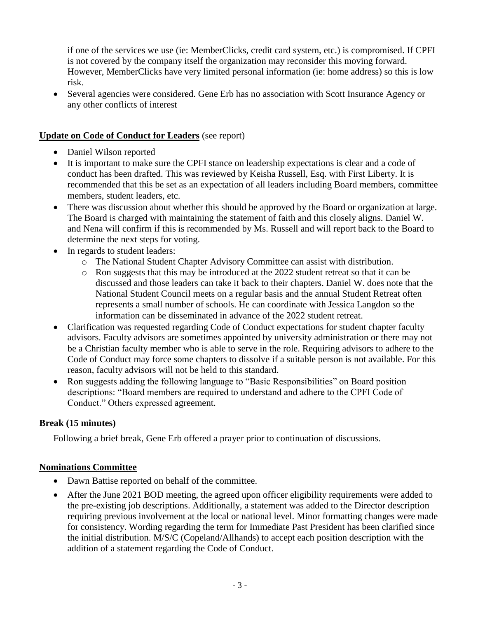if one of the services we use (ie: MemberClicks, credit card system, etc.) is compromised. If CPFI is not covered by the company itself the organization may reconsider this moving forward. However, MemberClicks have very limited personal information (ie: home address) so this is low risk.

 Several agencies were considered. Gene Erb has no association with Scott Insurance Agency or any other conflicts of interest

### **Update on Code of Conduct for Leaders** (see report)

- Daniel Wilson reported
- It is important to make sure the CPFI stance on leadership expectations is clear and a code of conduct has been drafted. This was reviewed by Keisha Russell, Esq. with First Liberty. It is recommended that this be set as an expectation of all leaders including Board members, committee members, student leaders, etc.
- There was discussion about whether this should be approved by the Board or organization at large. The Board is charged with maintaining the statement of faith and this closely aligns. Daniel W. and Nena will confirm if this is recommended by Ms. Russell and will report back to the Board to determine the next steps for voting.
- In regards to student leaders:
	- o The National Student Chapter Advisory Committee can assist with distribution.
	- o Ron suggests that this may be introduced at the 2022 student retreat so that it can be discussed and those leaders can take it back to their chapters. Daniel W. does note that the National Student Council meets on a regular basis and the annual Student Retreat often represents a small number of schools. He can coordinate with Jessica Langdon so the information can be disseminated in advance of the 2022 student retreat.
- Clarification was requested regarding Code of Conduct expectations for student chapter faculty advisors. Faculty advisors are sometimes appointed by university administration or there may not be a Christian faculty member who is able to serve in the role. Requiring advisors to adhere to the Code of Conduct may force some chapters to dissolve if a suitable person is not available. For this reason, faculty advisors will not be held to this standard.
- Ron suggests adding the following language to "Basic Responsibilities" on Board position descriptions: "Board members are required to understand and adhere to the CPFI Code of Conduct." Others expressed agreement.

# **Break (15 minutes)**

Following a brief break, Gene Erb offered a prayer prior to continuation of discussions.

#### **Nominations Committee**

- Dawn Battise reported on behalf of the committee.
- After the June 2021 BOD meeting, the agreed upon officer eligibility requirements were added to the pre-existing job descriptions. Additionally, a statement was added to the Director description requiring previous involvement at the local or national level. Minor formatting changes were made for consistency. Wording regarding the term for Immediate Past President has been clarified since the initial distribution. M/S/C (Copeland/Allhands) to accept each position description with the addition of a statement regarding the Code of Conduct.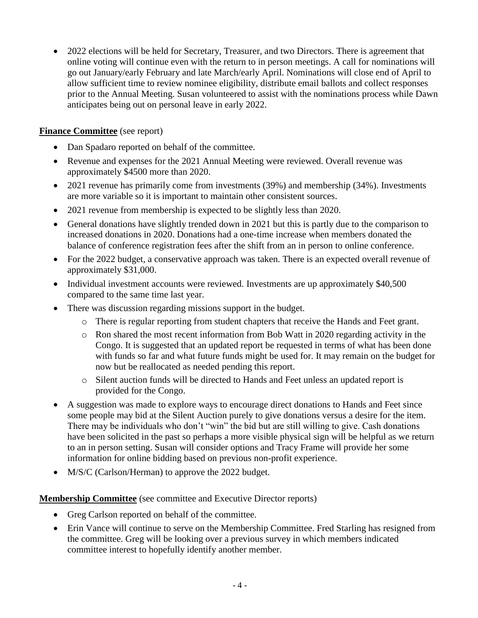• 2022 elections will be held for Secretary, Treasurer, and two Directors. There is agreement that online voting will continue even with the return to in person meetings. A call for nominations will go out January/early February and late March/early April. Nominations will close end of April to allow sufficient time to review nominee eligibility, distribute email ballots and collect responses prior to the Annual Meeting. Susan volunteered to assist with the nominations process while Dawn anticipates being out on personal leave in early 2022.

### **Finance Committee** (see report)

- Dan Spadaro reported on behalf of the committee.
- Revenue and expenses for the 2021 Annual Meeting were reviewed. Overall revenue was approximately \$4500 more than 2020.
- 2021 revenue has primarily come from investments (39%) and membership (34%). Investments are more variable so it is important to maintain other consistent sources.
- 2021 revenue from membership is expected to be slightly less than 2020.
- General donations have slightly trended down in 2021 but this is partly due to the comparison to increased donations in 2020. Donations had a one-time increase when members donated the balance of conference registration fees after the shift from an in person to online conference.
- For the 2022 budget, a conservative approach was taken. There is an expected overall revenue of approximately \$31,000.
- Individual investment accounts were reviewed. Investments are up approximately \$40,500 compared to the same time last year.
- There was discussion regarding missions support in the budget.
	- o There is regular reporting from student chapters that receive the Hands and Feet grant.
	- o Ron shared the most recent information from Bob Watt in 2020 regarding activity in the Congo. It is suggested that an updated report be requested in terms of what has been done with funds so far and what future funds might be used for. It may remain on the budget for now but be reallocated as needed pending this report.
	- o Silent auction funds will be directed to Hands and Feet unless an updated report is provided for the Congo.
- A suggestion was made to explore ways to encourage direct donations to Hands and Feet since some people may bid at the Silent Auction purely to give donations versus a desire for the item. There may be individuals who don't "win" the bid but are still willing to give. Cash donations have been solicited in the past so perhaps a more visible physical sign will be helpful as we return to an in person setting. Susan will consider options and Tracy Frame will provide her some information for online bidding based on previous non-profit experience.
- M/S/C (Carlson/Herman) to approve the 2022 budget.

#### **Membership Committee** (see committee and Executive Director reports)

- Greg Carlson reported on behalf of the committee.
- Erin Vance will continue to serve on the Membership Committee. Fred Starling has resigned from the committee. Greg will be looking over a previous survey in which members indicated committee interest to hopefully identify another member.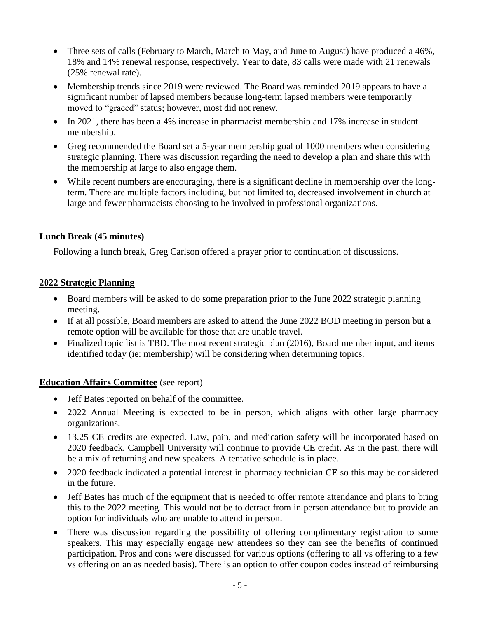- Three sets of calls (February to March, March to May, and June to August) have produced a 46%, 18% and 14% renewal response, respectively. Year to date, 83 calls were made with 21 renewals (25% renewal rate).
- Membership trends since 2019 were reviewed. The Board was reminded 2019 appears to have a significant number of lapsed members because long-term lapsed members were temporarily moved to "graced" status; however, most did not renew.
- In 2021, there has been a 4% increase in pharmacist membership and 17% increase in student membership.
- Greg recommended the Board set a 5-year membership goal of 1000 members when considering strategic planning. There was discussion regarding the need to develop a plan and share this with the membership at large to also engage them.
- While recent numbers are encouraging, there is a significant decline in membership over the longterm. There are multiple factors including, but not limited to, decreased involvement in church at large and fewer pharmacists choosing to be involved in professional organizations.

# **Lunch Break (45 minutes)**

Following a lunch break, Greg Carlson offered a prayer prior to continuation of discussions.

# **2022 Strategic Planning**

- Board members will be asked to do some preparation prior to the June 2022 strategic planning meeting.
- If at all possible, Board members are asked to attend the June 2022 BOD meeting in person but a remote option will be available for those that are unable travel.
- Finalized topic list is TBD. The most recent strategic plan (2016), Board member input, and items identified today (ie: membership) will be considering when determining topics.

# **Education Affairs Committee** (see report)

- Jeff Bates reported on behalf of the committee.
- 2022 Annual Meeting is expected to be in person, which aligns with other large pharmacy organizations.
- 13.25 CE credits are expected. Law, pain, and medication safety will be incorporated based on 2020 feedback. Campbell University will continue to provide CE credit. As in the past, there will be a mix of returning and new speakers. A tentative schedule is in place.
- 2020 feedback indicated a potential interest in pharmacy technician CE so this may be considered in the future.
- Jeff Bates has much of the equipment that is needed to offer remote attendance and plans to bring this to the 2022 meeting. This would not be to detract from in person attendance but to provide an option for individuals who are unable to attend in person.
- There was discussion regarding the possibility of offering complimentary registration to some speakers. This may especially engage new attendees so they can see the benefits of continued participation. Pros and cons were discussed for various options (offering to all vs offering to a few vs offering on an as needed basis). There is an option to offer coupon codes instead of reimbursing